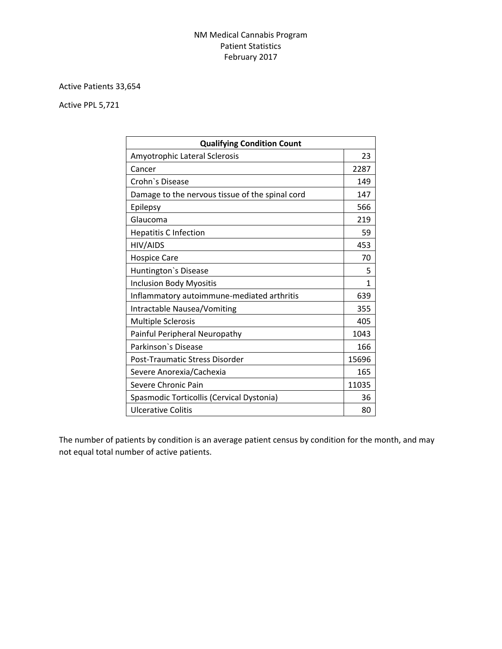## NM Medical Cannabis Program Patient Statistics February 2017

## Active Patients 33,654

Active PPL 5,721

| <b>Qualifying Condition Count</b>               |       |
|-------------------------------------------------|-------|
| Amyotrophic Lateral Sclerosis                   | 23    |
| Cancer                                          | 2287  |
| Crohn's Disease                                 | 149   |
| Damage to the nervous tissue of the spinal cord | 147   |
| Epilepsy                                        | 566   |
| Glaucoma                                        | 219   |
| <b>Hepatitis C Infection</b>                    | 59    |
| HIV/AIDS                                        | 453   |
| <b>Hospice Care</b>                             | 70    |
| Huntington's Disease                            | 5     |
| <b>Inclusion Body Myositis</b>                  | 1     |
| Inflammatory autoimmune-mediated arthritis      | 639   |
| Intractable Nausea/Vomiting                     | 355   |
| <b>Multiple Sclerosis</b>                       | 405   |
| Painful Peripheral Neuropathy                   | 1043  |
| Parkinson's Disease                             | 166   |
| Post-Traumatic Stress Disorder                  | 15696 |
| Severe Anorexia/Cachexia                        | 165   |
| Severe Chronic Pain                             | 11035 |
| Spasmodic Torticollis (Cervical Dystonia)       | 36    |
| <b>Ulcerative Colitis</b>                       | 80    |

The number of patients by condition is an average patient census by condition for the month, and may not equal total number of active patients.